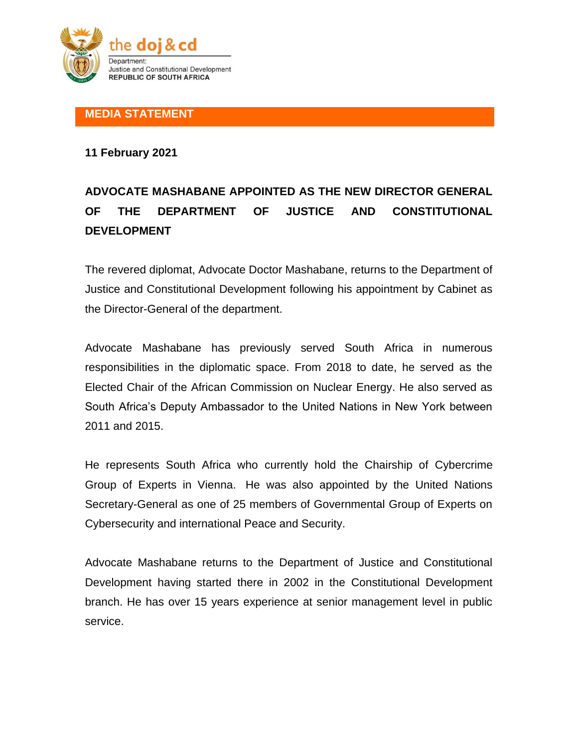

**MEDIA STATEMENT**

**11 February 2021**

## **ADVOCATE MASHABANE APPOINTED AS THE NEW DIRECTOR GENERAL OF THE DEPARTMENT OF JUSTICE AND CONSTITUTIONAL DEVELOPMENT**

The revered diplomat, Advocate Doctor Mashabane, returns to the Department of Justice and Constitutional Development following his appointment by Cabinet as the Director-General of the department.

Advocate Mashabane has previously served South Africa in numerous responsibilities in the diplomatic space. From 2018 to date, he served as the Elected Chair of the African Commission on Nuclear Energy. He also served as South Africa's Deputy Ambassador to the United Nations in New York between 2011 and 2015.

He represents South Africa who currently hold the Chairship of Cybercrime Group of Experts in Vienna. He was also appointed by the United Nations Secretary-General as one of 25 members of Governmental Group of Experts on Cybersecurity and international Peace and Security.

Advocate Mashabane returns to the Department of Justice and Constitutional Development having started there in 2002 in the Constitutional Development branch. He has over 15 years experience at senior management level in public service.